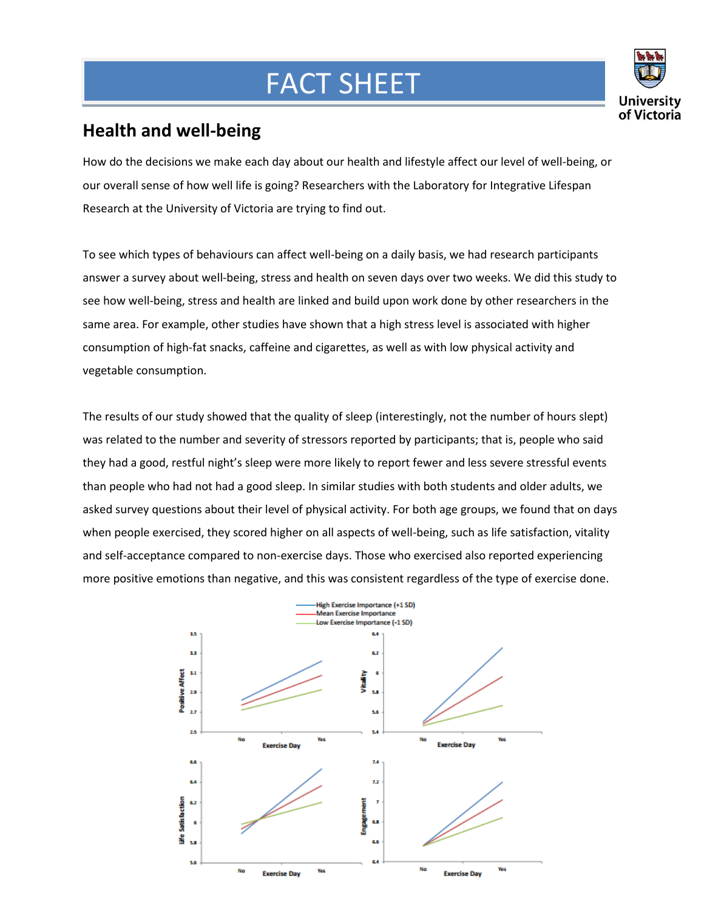## FACT SHEET



## **Health and well-being**

**Mar**

How do the decisions we make each day about our health and lifestyle affect our level of well-being, or our overall sense of how well life is going? Researchers with the Laboratory for Integrative Lifespan Research at the University of Victoria are trying to find out.

To see which types of behaviours can affect well-being on a daily basis, we had research participants answer a survey about well-being, stress and health on seven days over two weeks. We did this study to see how well-being, stress and health are linked and build upon work done by other researchers in the same area. For example, other studies have shown that a high stress level is associated with higher consumption of high-fat snacks, caffeine and cigarettes, as well as with low physical activity and vegetable consumption.

The results of our study showed that the quality of sleep (interestingly, not the number of hours slept) was related to the number and severity of stressors reported by participants; that is, people who said they had a good, restful night's sleep were more likely to report fewer and less severe stressful events than people who had not had a good sleep. In similar studies with both students and older adults, we asked survey questions about their level of physical activity. For both age groups, we found that on days when people exercised, they scored higher on all aspects of well-being, such as life satisfaction, vitality and self-acceptance compared to non-exercise days. Those who exercised also reported experiencing more positive emotions than negative, and this was consistent regardless of the type of exercise done.